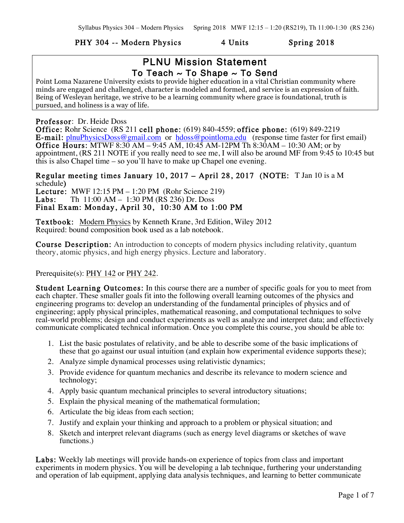#### PHY 304 -- Modern Physics 4 Units Spring 2018

## PLNU Mission Statement To Teach  $\sim$  To Shape  $\sim$  To Send

Point Loma Nazarene University exists to provide higher education in a vital Christian community where minds are engaged and challenged, character is modeled and formed, and service is an expression of faith. Being of Wesleyan heritage, we strive to be a learning community where grace is foundational, truth is pursued, and holiness is a way of life.

Professor: Dr. Heide Doss

Office: Rohr Science (RS 211 cell phone: (619) 840-4559; office phone: (619) 849-2219 E-mail: plnuPhysicsDoss@gmail.com or hdoss@pointloma.edu (response time faster for first email) **Office Hours:** MTWF 8:30 AM – 9:45 AM,  $10:45$  AM-12PM Th 8:30 AM – 10:30 AM; or by appointment, (RS 211 NOTE if you really need to see me, I will also be around MF from 9:45 to 10:45 but this is also Chapel time – so you'll have to make up Chapel one evening.

Regular meeting times January 10, 2017 – April 28, 2017 (NOTE: T Jan 10 is a M schedule) **Lecture:** MWF 12:15 PM – 1:20 PM (Rohr Science 219)<br>**Labs:** Th 11:00 AM – 1:30 PM (RS 236) Dr. Doss Th 11:00 AM – 1:30 PM (RS 236) Dr. Doss Final Exam: Monday, April 30, 10:30 AM to 1:00 PM

Textbook: Modern Physics by Kenneth Krane, 3rd Edition, Wiley 2012 Required: bound composition book used as a lab notebook.

Course Description: An introduction to concepts of modern physics including relativity, quantum theory, atomic physics, and high energy physics. Lecture and laboratory.

#### Prerequisite(s): PHY 142 or PHY 242.

Student Learning Outcomes: In this course there are a number of specific goals for you to meet from each chapter. These smaller goals fit into the following overall learning outcomes of the physics and engineering programs to: develop an understanding of the fundamental principles of physics and of engineering; apply physical principles, mathematical reasoning, and computational techniques to solve real-world problems; design and conduct experiments as well as analyze and interpret data; and effectively communicate complicated technical information. Once you complete this course, you should be able to:

- 1. List the basic postulates of relativity, and be able to describe some of the basic implications of these that go against our usual intuition (and explain how experimental evidence supports these);
- 2. Analyze simple dynamical processes using relativistic dynamics;
- 3. Provide evidence for quantum mechanics and describe its relevance to modern science and technology;
- 4. Apply basic quantum mechanical principles to several introductory situations;
- 5. Explain the physical meaning of the mathematical formulation;
- 6. Articulate the big ideas from each section;
- 7. Justify and explain your thinking and approach to a problem or physical situation; and
- 8. Sketch and interpret relevant diagrams (such as energy level diagrams or sketches of wave functions.)

Labs: Weekly lab meetings will provide hands-on experience of topics from class and important experiments in modern physics. You will be developing a lab technique, furthering your understanding and operation of lab equipment, applying data analysis techniques, and learning to better communicate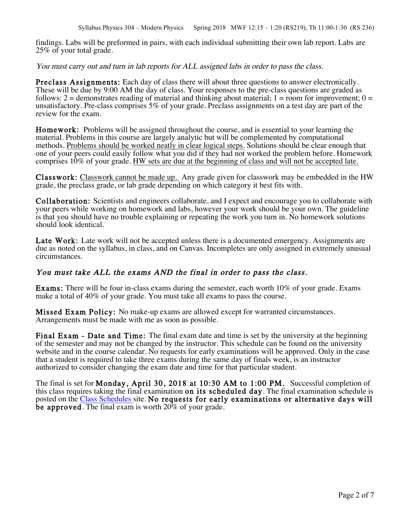findings. Labs will be preformed in pairs, with each individual submitting their own lab report. Labs are 25% of your total grade.

You must carry out and turn in lab reports for ALL assigned labs in order to pass the class.

Preclass Assignments: Each day of class there will about three questions to answer electronically. These will be due by 9:00 AM the day of class. Your responses to the pre-class questions are graded as follows: 2 = demonstrates reading of material and thinking about material; 1 = room for improvement;  $0 =$ unsatisfactory. Pre-class comprises 5% of your grade. Preclass assignments on a test day are part of the review for the exam.

Homework: Problems will be assigned throughout the course, and is essential to your learning the material. Problems in this course are largely analytic but will be complemented by computational methods. Problems should be worked neatly in clear logical steps. Solutions should be clear enough that one of your peers could easily follow what you did if they had not worked the problem before. Homework comprises 10% of your grade. HW sets are due at the beginning of class and will not be accepted late.

Classwork: Classwork cannot be made up. Any grade given for classwork may be embedded in the HW grade, the preclass grade, or lab grade depending on which category it best fits with.

Collaboration: Scientists and engineers collaborate, and I expect and encourage you to collaborate with your peers while working on homework and labs, however your work should be your own. The guideline is that you should have no trouble explaining or repeating the work you turn in. No homework solutions should look identical.

Late Work: Late work will not be accepted unless there is a documented emergency. Assignments are due as noted on the syllabus, in class, and on Canvas. Incompletes are only assigned in extremely unusual circumstances.

## You must take ALL the exams AND the final in order to pass the class.

Exams: There will be four in-class exams during the semester, each worth 10% of your grade. Exams make a total of 40% of your grade. You must take all exams to pass the course.

Missed Exam Policy: No make-up exams are allowed except for warranted circumstances. Arrangements must be made with me as soon as possible.

Final Exam - Date and Time: The final exam date and time is set by the university at the beginning of the semester and may not be changed by the instructor. This schedule can be found on the university website and in the course calendar. No requests for early examinations will be approved. Only in the case that a student is required to take three exams during the same day of finals week, is an instructor authorized to consider changing the exam date and time for that particular student.

The final is set for Monday, April 30, 2018 at 10:30 AM to 1:00 PM. Successful completion of this class requires taking the final examination on its scheduled day. The final examination schedule is posted on the Class Schedules site. No requests for early examinations or alternative days will be approved. The final exam is worth  $20\%$  of your grade.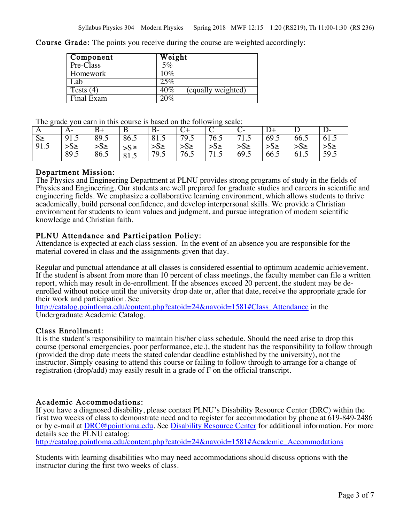Course Grade: The points you receive during the course are weighted accordingly:

| Component   | Weight                       |
|-------------|------------------------------|
| Pre-Class   | 5%                           |
| Homework    | 10%                          |
| Lab.        | 25%                          |
| Tests $(4)$ | $40\%$<br>(equally weighted) |
| Final Exam  | 20%                          |

The grade you earn in this course is based on the following scale:

| ----      |           |           |        |           |          |           |           |          |          |          |
|-----------|-----------|-----------|--------|-----------|----------|-----------|-----------|----------|----------|----------|
|           | A-        |           | В      |           |          |           |           |          |          |          |
| $S_{\ge}$ | 91.5      | 89.5      | 86.5   | 81.5      | 79.5     | 76.5      | $71 \sim$ | 69.5     | 66.5     | 61.5     |
| 91.5      | $>S \geq$ | $>S \geq$ | $>$ S≥ | $>S \geq$ | $>S\geq$ | $>S \geq$ | $>S\geq$  | $>S\geq$ | $>S\geq$ | $>S\geq$ |
|           | 89.5      | 86.5      | 81.5   | 79.5      | 76.5     | 71.5      | 69.5      | 66.5     | 61.5     | 59.5     |

#### Department Mission:

The Physics and Engineering Department at PLNU provides strong programs of study in the fields of Physics and Engineering. Our students are well prepared for graduate studies and careers in scientific and engineering fields. We emphasize a collaborative learning environment, which allows students to thrive academically, build personal confidence, and develop interpersonal skills. We provide a Christian environment for students to learn values and judgment, and pursue integration of modern scientific knowledge and Christian faith.

#### PLNU Attendance and Participation Policy:

Attendance is expected at each class session. In the event of an absence you are responsible for the material covered in class and the assignments given that day.

Regular and punctual attendance at all classes is considered essential to optimum academic achievement. If the student is absent from more than 10 percent of class meetings, the faculty member can file a written report, which may result in de-enrollment. If the absences exceed 20 percent, the student may be deenrolled without notice until the university drop date or, after that date, receive the appropriate grade for their work and participation. See

http://catalog.pointloma.edu/content.php?catoid=24&navoid=1581#Class\_Attendance in the Undergraduate Academic Catalog.

#### Class Enrollment:

It is the student's responsibility to maintain his/her class schedule. Should the need arise to drop this course (personal emergencies, poor performance, etc.), the student has the responsibility to follow through (provided the drop date meets the stated calendar deadline established by the university), not the instructor. Simply ceasing to attend this course or failing to follow through to arrange for a change of registration (drop/add) may easily result in a grade of F on the official transcript.

## Academic Accommodations:

If you have a diagnosed disability, please contact PLNU's Disability Resource Center (DRC) within the first two weeks of class to demonstrate need and to register for accommodation by phone at 619-849-2486 or by e-mail at DRC@pointloma.edu. See Disability Resource Center for additional information. For more details see the PLNU catalog:

http://catalog.pointloma.edu/content.php?catoid=24&navoid=1581#Academic\_Accommodations

Students with learning disabilities who may need accommodations should discuss options with the instructor during the first two weeks of class.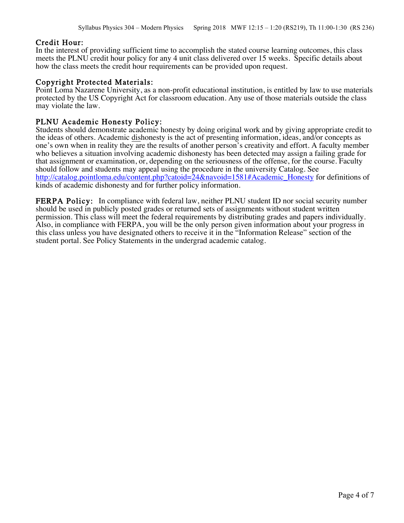Credit Hour:<br>In the interest of providing sufficient time to accomplish the stated course learning outcomes, this class meets the PLNU credit hour policy for any 4 unit class delivered over 15 weeks. Specific details about how the class meets the credit hour requirements can be provided upon request.

Copyright Protected Materials:<br>Point Loma Nazarene University, as a non-profit educational institution, is entitled by law to use materials protected by the US Copyright Act for classroom education. Any use of those materials outside the class may violate the law.

PLNU Academic Honesty Policy:<br>Students should demonstrate academic honesty by doing original work and by giving appropriate credit to the ideas of others. Academic dishonesty is the act of presenting information, ideas, and/or concepts as one's own when in reality they are the results of another person's creativity and effort. A faculty member who believes a situation involving academic dishonesty has been detected may assign a failing grade for that assignment or examination, or, depending on the seriousness of the offense, for the course. Faculty should follow and students may appeal using the procedure in the university Catalog. See http://catalog.pointloma.edu/content.php?catoid=24&navoid=1581#Academic\_Honesty for definitions of kinds of academic dishonesty and for further policy information.

FERPA Policy: In compliance with federal law, neither PLNU student ID nor social security number should be used in publicly posted grades or returned sets of assignments without student written permission. This class will meet the federal requirements by distributing grades and papers individually. Also, in compliance with FERPA, you will be the only person given information about your progress in this class unless you have designated others to receive it in the "Information Release" section of the student portal. See Policy Statements in the undergrad academic catalog.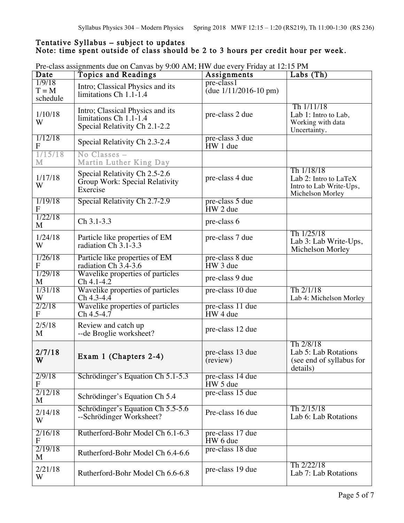## Tentative Syllabus – subject to updates<br>Note: time spent outside of class should be 2 to 3 hours per credit hour per week.

| Date                          | <b>Topics and Readings</b>                                                                  | Assignments                             | Labs $(Th)$                                                                        |
|-------------------------------|---------------------------------------------------------------------------------------------|-----------------------------------------|------------------------------------------------------------------------------------|
| 1/9/18<br>$T = M$<br>schedule | Intro; Classical Physics and its<br>limitations Ch 1.1-1.4                                  | pre-class1<br>(due $1/11/2016 - 10$ pm) |                                                                                    |
| 1/10/18<br>W                  | Intro; Classical Physics and its<br>limitations Ch 1.1-1.4<br>Special Relativity Ch 2.1-2.2 | pre-class 2 due                         | Th $1/11/18$<br>Lab 1: Intro to Lab,<br>Working with data<br>Uncertainty.          |
| 1/12/18<br>F                  | Special Relativity Ch 2.3-2.4                                                               | pre-class 3 due<br>HW 1 due             |                                                                                    |
| 1/15/18<br>M                  | No Classes -<br>Martin Luther King Day                                                      |                                         |                                                                                    |
| 1/17/18<br>W                  | Special Relativity Ch 2.5-2.6<br>Group Work: Special Relativity<br>Exercise                 | pre-class 4 due                         | Th 1/18/18<br>Lab 2: Intro to LaTeX<br>Intro to Lab Write-Ups,<br>Michelson Morley |
| 1/19/18<br>F                  | Special Relativity Ch 2.7-2.9                                                               | pre-class 5 due<br>HW 2 due             |                                                                                    |
| 1/22/18<br>M                  | Ch 3.1-3.3                                                                                  | pre-class 6                             |                                                                                    |
| 1/24/18<br>W                  | Particle like properties of EM<br>radiation Ch 3.1-3.3                                      | pre-class 7 due                         | Th 1/25/18<br>Lab 3: Lab Write-Ups,<br>Michelson Morley                            |
| 1/26/18<br>F                  | Particle like properties of EM<br>radiation Ch 3.4-3.6                                      | pre-class 8 due<br>HW 3 due             |                                                                                    |
| 1/29/18<br>M                  | Wavelike properties of particles<br>$Ch 4.1 - 4.2$                                          | pre-class 9 due                         |                                                                                    |
| 1/31/18<br>W                  | Wavelike properties of particles<br>Ch 4.3-4.4                                              | pre-class 10 due                        | Th 2/1/18<br>Lab 4: Michelson Morley                                               |
| 2/2/18<br>${\bf F}$           | Wavelike properties of particles<br>$Ch$ 4.5-4.7                                            | pre-class 11 due<br>HW 4 due            |                                                                                    |
| 2/5/18<br>M                   | Review and catch up<br>--de Broglie worksheet?                                              | pre-class 12 due                        |                                                                                    |
| 2/7/18<br>W                   | Exam 1 (Chapters 2-4)                                                                       | pre-class 13 due<br>(review)            | Th 2/8/18<br>Lab 5: Lab Rotations<br>(see end of syllabus for<br>details)          |
| 2/9/18<br>F                   | Schrödinger's Equation Ch 5.1-5.3                                                           | pre-class 14 due<br>HW 5 due            |                                                                                    |
| 2/12/18<br>M                  | Schrödinger's Equation Ch 5.4                                                               | pre-class 15 due                        |                                                                                    |
| 2/14/18<br>W                  | Schrödinger's Equation Ch 5.5-5.6<br>--Schrödinger Worksheet?                               | Pre-class 16 due                        | Th 2/15/18<br>Lab 6: Lab Rotations                                                 |
| 2/16/18<br>F                  | Rutherford-Bohr Model Ch 6.1-6.3                                                            | pre-class 17 due<br>HW 6 due            |                                                                                    |
| 2/19/18<br>M                  | Rutherford-Bohr Model Ch 6.4-6.6                                                            | pre-class 18 due                        |                                                                                    |
| 2/21/18<br>W                  | Rutherford-Bohr Model Ch 6.6-6.8                                                            | pre-class 19 due                        | Th 2/22/18<br>Lab 7: Lab Rotations                                                 |

Pre-class assignments due on Canvas by 9:00 AM; HW due every Friday at 12:15 PM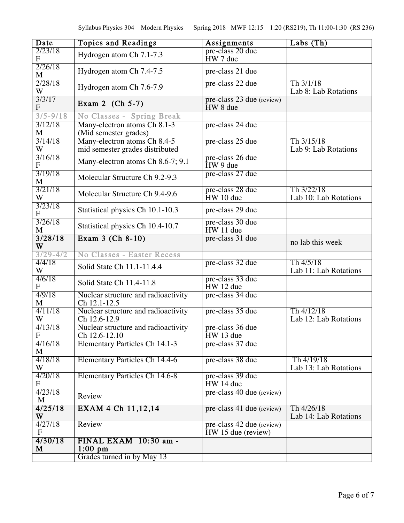| Date                                 | <b>Topics and Readings</b>                                      | Assignments                                       | Labs(Th)                            |
|--------------------------------------|-----------------------------------------------------------------|---------------------------------------------------|-------------------------------------|
| 2/23/18<br>${\bf F}$                 | Hydrogen atom Ch 7.1-7.3                                        | pre-class 20 due<br>HW 7 due                      |                                     |
| 2/26/18<br>M                         | Hydrogen atom Ch 7.4-7.5                                        | pre-class 21 due                                  |                                     |
| 2/28/18<br>W                         | Hydrogen atom Ch 7.6-7.9                                        | pre-class 22 due                                  | Th 3/1/18<br>Lab 8: Lab Rotations   |
| 3/3/17<br>${\bf F}$                  | Exam 2 $(Ch 5-7)$                                               | pre-class 23 due (review)<br>HW 8 due             |                                     |
| $3/5 - 9/18$                         | No Classes - Spring Break                                       |                                                   |                                     |
| 3/12/18<br>M                         | Many-electron atoms Ch 8.1-3<br>(Mid semester grades)           | pre-class 24 due                                  |                                     |
| 3/14/18<br>W                         | Many-electron atoms Ch 8.4-5<br>mid semester grades distributed | pre-class 25 due                                  | Th 3/15/18<br>Lab 9: Lab Rotations  |
| 3/16/18<br>$\mathbf F$               | Many-electron atoms Ch 8.6-7; 9.1                               | pre-class 26 due<br>HW 9 due                      |                                     |
| 3/19/18<br>M                         | Molecular Structure Ch 9.2-9.3                                  | pre-class 27 due                                  |                                     |
| 3/21/18<br>W                         | Molecular Structure Ch 9.4-9.6                                  | pre-class 28 due<br>HW 10 due                     | Th 3/22/18<br>Lab 10: Lab Rotations |
| 3/23/18<br>$\mathbf F$               | Statistical physics Ch 10.1-10.3                                | pre-class 29 due                                  |                                     |
| 3/26/18<br>M                         | Statistical physics Ch 10.4-10.7                                | pre-class 30 due<br>HW 11 due                     |                                     |
| 3/28/18<br>W                         | Exam 3 (Ch 8-10)                                                | pre-class 31 due                                  | no lab this week                    |
| $3/29 - 4/2$                         | No Classes - Easter Recess                                      |                                                   |                                     |
| 4/4/18<br>W                          | Solid State Ch 11.1-11.4.4                                      | pre-class 32 due                                  | Th 4/5/18<br>Lab 11: Lab Rotations  |
| 4/6/18<br>$\mathbf{F}$               | Solid State Ch 11.4-11.8                                        | pre-class 33 due<br>HW 12 due                     |                                     |
| 4/9/18<br>M                          | Nuclear structure and radioactivity<br>Ch 12.1-12.5             | pre-class 34 due                                  |                                     |
| 4/11/18<br>W                         | Nuclear structure and radioactivity<br>Ch 12.6-12.9             | pre-class 35 due                                  | Th 4/12/18<br>Lab 12: Lab Rotations |
| 4/13/18<br>$\boldsymbol{\mathrm{F}}$ | Nuclear structure and radioactivity<br>Ch 12.6-12.10            | pre-class 36 due<br>HW 13 due                     |                                     |
| 4/16/18<br>M                         | <b>Elementary Particles Ch 14.1-3</b>                           | pre-class 37 due                                  |                                     |
| 4/18/18<br>W                         | <b>Elementary Particles Ch 14.4-6</b>                           | pre-class 38 due                                  | Th 4/19/18<br>Lab 13: Lab Rotations |
| 4/20/18<br>F                         | <b>Elementary Particles Ch 14.6-8</b>                           | pre-class 39 due<br>HW 14 due                     |                                     |
| 4/23/18<br>M                         | Review                                                          | pre-class 40 due (review)                         |                                     |
| 4/25/18<br>W                         | EXAM 4 Ch 11,12,14                                              | pre-class 41 due (review)                         | Th 4/26/18<br>Lab 14: Lab Rotations |
| 4/27/18<br>$\mathbf F$               | Review                                                          | pre-class 42 due (review)<br>$HW 15$ due (review) |                                     |
| 4/30/18<br>M                         | FINAL EXAM 10:30 am -<br>$1:00$ pm                              |                                                   |                                     |
|                                      | Grades turned in by May 13                                      |                                                   |                                     |